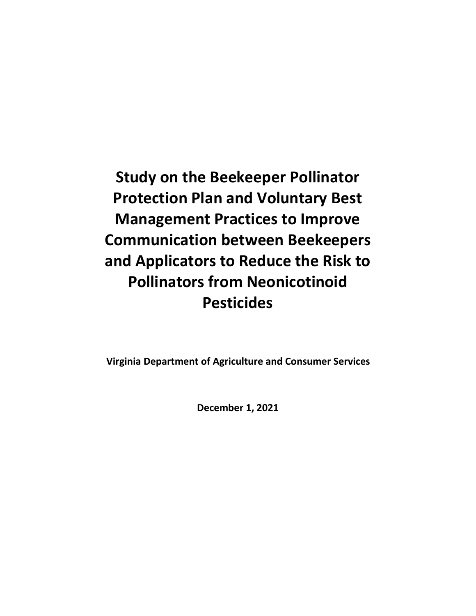**Study on the Beekeeper Pollinator Protection Plan and Voluntary Best Management Practices to Improve Communication between Beekeepers and Applicators to Reduce the Risk to Pollinators from Neonicotinoid Pesticides**

**Virginia Department of Agriculture and Consumer Services**

**December 1, 2021**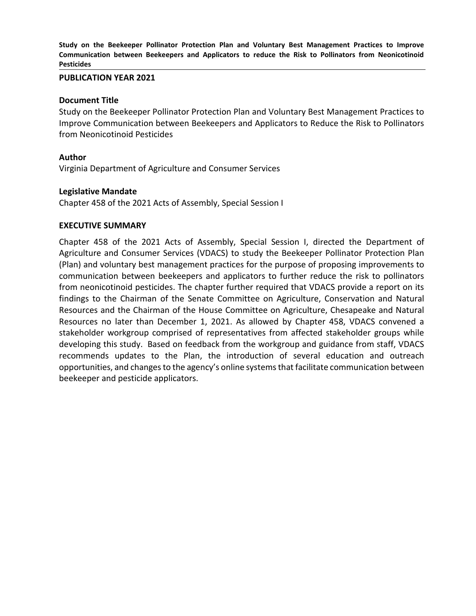**Study on the Beekeeper Pollinator Protection Plan and Voluntary Best Management Practices to Improve Communication between Beekeepers and Applicators to reduce the Risk to Pollinators from Neonicotinoid Pesticides**

#### **PUBLICATION YEAR 2021**

#### **Document Title**

Study on the Beekeeper Pollinator Protection Plan and Voluntary Best Management Practices to Improve Communication between Beekeepers and Applicators to Reduce the Risk to Pollinators from Neonicotinoid Pesticides

#### **Author**

Virginia Department of Agriculture and Consumer Services

#### **Legislative Mandate**

Chapter 458 of the 2021 Acts of Assembly, Special Session I

#### **EXECUTIVE SUMMARY**

Chapter 458 of the 2021 Acts of Assembly, Special Session I, directed the Department of Agriculture and Consumer Services (VDACS) to study the Beekeeper Pollinator Protection Plan (Plan) and voluntary best management practices for the purpose of proposing improvements to communication between beekeepers and applicators to further reduce the risk to pollinators from neonicotinoid pesticides. The chapter further required that VDACS provide a report on its findings to the Chairman of the Senate Committee on Agriculture, Conservation and Natural Resources and the Chairman of the House Committee on Agriculture, Chesapeake and Natural Resources no later than December 1, 2021. As allowed by Chapter 458, VDACS convened a stakeholder workgroup comprised of representatives from affected stakeholder groups while developing this study. Based on feedback from the workgroup and guidance from staff, VDACS recommends updates to the Plan, the introduction of several education and outreach opportunities, and changes to the agency's online systems that facilitate communication between beekeeper and pesticide applicators.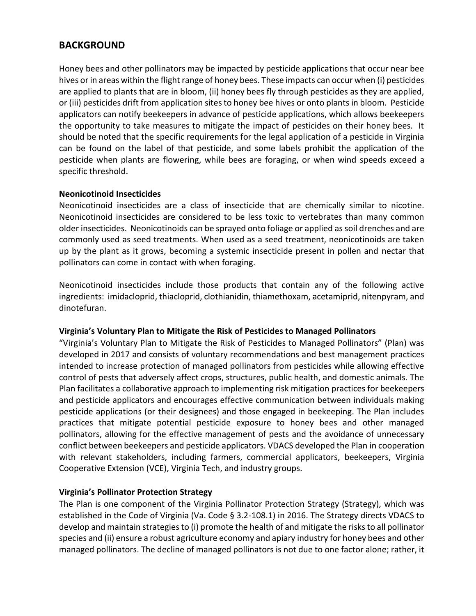# **BACKGROUND**

Honey bees and other pollinators may be impacted by pesticide applications that occur near bee hives or in areas within the flight range of honey bees. These impacts can occur when (i) pesticides are applied to plants that are in bloom, (ii) honey bees fly through pesticides as they are applied, or (iii) pesticides drift from application sites to honey bee hives or onto plants in bloom. Pesticide applicators can notify beekeepers in advance of pesticide applications, which allows beekeepers the opportunity to take measures to mitigate the impact of pesticides on their honey bees. It should be noted that the specific requirements for the legal application of a pesticide in Virginia can be found on the label of that pesticide, and some labels prohibit the application of the pesticide when plants are flowering, while bees are foraging, or when wind speeds exceed a specific threshold.

#### **Neonicotinoid Insecticides**

Neonicotinoid insecticides are a class of insecticide that are chemically similar to nicotine. Neonicotinoid insecticides are considered to be less toxic to vertebrates than many common older insecticides. Neonicotinoids can be sprayed onto foliage or applied as soil drenches and are commonly used as seed treatments. When used as a seed treatment, neonicotinoids are taken up by the plant as it grows, becoming a systemic insecticide present in pollen and nectar that pollinators can come in contact with when foraging.

Neonicotinoid insecticides include those products that contain any of the following active ingredients: imidacloprid, thiacloprid, clothianidin, thiamethoxam, acetamiprid, nitenpyram, and dinotefuran.

#### **Virginia's Voluntary Plan to Mitigate the Risk of Pesticides to Managed Pollinators**

"Virginia's Voluntary Plan to Mitigate the Risk of Pesticides to Managed Pollinators" (Plan) was developed in 2017 and consists of voluntary recommendations and best management practices intended to increase protection of managed pollinators from pesticides while allowing effective control of pests that adversely affect crops, structures, public health, and domestic animals. The Plan facilitates a collaborative approach to implementing risk mitigation practices for beekeepers and pesticide applicators and encourages effective communication between individuals making pesticide applications (or their designees) and those engaged in beekeeping. The Plan includes practices that mitigate potential pesticide exposure to honey bees and other managed pollinators, allowing for the effective management of pests and the avoidance of unnecessary conflict between beekeepers and pesticide applicators. VDACS developed the Plan in cooperation with relevant stakeholders, including farmers, commercial applicators, beekeepers, Virginia Cooperative Extension (VCE), Virginia Tech, and industry groups.

#### **Virginia's Pollinator Protection Strategy**

The Plan is one component of the Virginia Pollinator Protection Strategy (Strategy), which was established in the Code of Virginia (Va. Code § 3.2-108.1) in 2016. The Strategy directs VDACS to develop and maintain strategies to (i) promote the health of and mitigate the risks to all pollinator species and (ii) ensure a robust agriculture economy and apiary industry for honey bees and other managed pollinators. The decline of managed pollinators is not due to one factor alone; rather, it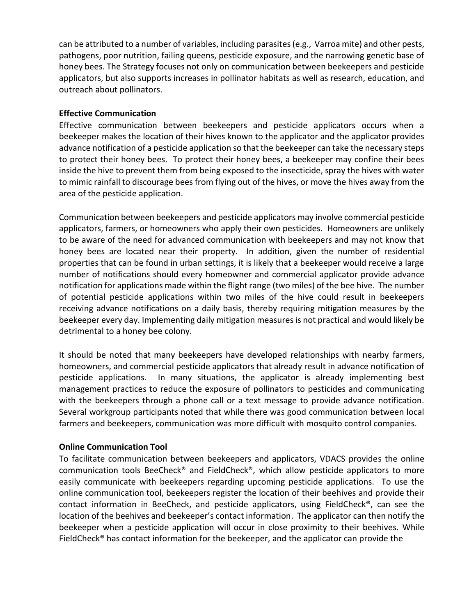can be attributed to a number of variables, including parasites (e.g., Varroa mite) and other pests, pathogens, poor nutrition, failing queens, pesticide exposure, and the narrowing genetic base of honey bees. The Strategy focuses not only on communication between beekeepers and pesticide applicators, but also supports increases in pollinator habitats as well as research, education, and outreach about pollinators.

### **Effective Communication**

Effective communication between beekeepers and pesticide applicators occurs when a beekeeper makes the location of their hives known to the applicator and the applicator provides advance notification of a pesticide application so that the beekeeper can take the necessary steps to protect their honey bees. To protect their honey bees, a beekeeper may confine their bees inside the hive to prevent them from being exposed to the insecticide, spray the hives with water to mimic rainfall to discourage bees from flying out of the hives, or move the hives away from the area of the pesticide application.

Communication between beekeepers and pesticide applicators may involve commercial pesticide applicators, farmers, or homeowners who apply their own pesticides. Homeowners are unlikely to be aware of the need for advanced communication with beekeepers and may not know that honey bees are located near their property. In addition, given the number of residential properties that can be found in urban settings, it is likely that a beekeeper would receive a large number of notifications should every homeowner and commercial applicator provide advance notification for applications made within the flight range (two miles) of the bee hive. The number of potential pesticide applications within two miles of the hive could result in beekeepers receiving advance notifications on a daily basis, thereby requiring mitigation measures by the beekeeper every day. Implementing daily mitigation measures is not practical and would likely be detrimental to a honey bee colony.

It should be noted that many beekeepers have developed relationships with nearby farmers, homeowners, and commercial pesticide applicators that already result in advance notification of pesticide applications. In many situations, the applicator is already implementing best management practices to reduce the exposure of pollinators to pesticides and communicating with the beekeepers through a phone call or a text message to provide advance notification. Several workgroup participants noted that while there was good communication between local farmers and beekeepers, communication was more difficult with mosquito control companies.

#### **Online Communication Tool**

To facilitate communication between beekeepers and applicators, VDACS provides the online communication tools BeeCheck® and FieldCheck®, which allow pesticide applicators to more easily communicate with beekeepers regarding upcoming pesticide applications. To use the online communication tool, beekeepers register the location of their beehives and provide their contact information in BeeCheck, and pesticide applicators, using FieldCheck®, can see the location of the beehives and beekeeper's contact information. The applicator can then notify the beekeeper when a pesticide application will occur in close proximity to their beehives. While FieldCheck® has contact information for the beekeeper, and the applicator can provide the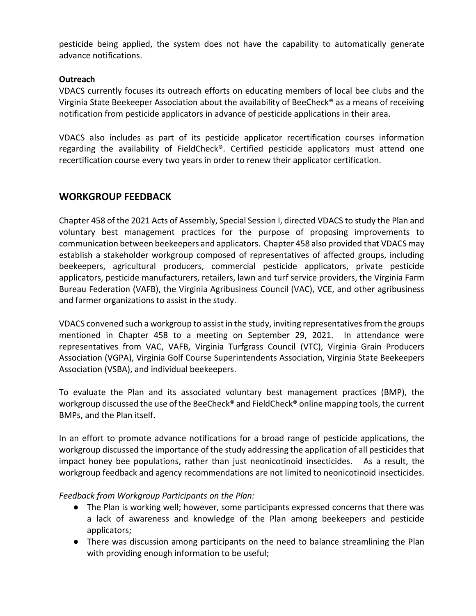pesticide being applied, the system does not have the capability to automatically generate advance notifications.

### **Outreach**

VDACS currently focuses its outreach efforts on educating members of local bee clubs and the Virginia State Beekeeper Association about the availability of BeeCheck® as a means of receiving notification from pesticide applicators in advance of pesticide applications in their area.

VDACS also includes as part of its pesticide applicator recertification courses information regarding the availability of FieldCheck®. Certified pesticide applicators must attend one recertification course every two years in order to renew their applicator certification.

# **WORKGROUP FEEDBACK**

Chapter 458 of the 2021 Acts of Assembly, Special Session I, directed VDACS to study the Plan and voluntary best management practices for the purpose of proposing improvements to communication between beekeepers and applicators. Chapter 458 also provided that VDACS may establish a stakeholder workgroup composed of representatives of affected groups, including beekeepers, agricultural producers, commercial pesticide applicators, private pesticide applicators, pesticide manufacturers, retailers, lawn and turf service providers, the Virginia Farm Bureau Federation (VAFB), the Virginia Agribusiness Council (VAC), VCE, and other agribusiness and farmer organizations to assist in the study.

VDACS convened such a workgroup to assist in the study, inviting representatives from the groups mentioned in Chapter 458 to a meeting on September 29, 2021. In attendance were representatives from VAC, VAFB, Virginia Turfgrass Council (VTC), Virginia Grain Producers Association (VGPA), Virginia Golf Course Superintendents Association, Virginia State Beekeepers Association (VSBA), and individual beekeepers.

To evaluate the Plan and its associated voluntary best management practices (BMP), the workgroup discussed the use of the BeeCheck® and FieldCheck® online mapping tools, the current BMPs, and the Plan itself.

In an effort to promote advance notifications for a broad range of pesticide applications, the workgroup discussed the importance of the study addressing the application of all pesticides that impact honey bee populations, rather than just neonicotinoid insecticides. As a result, the workgroup feedback and agency recommendations are not limited to neonicotinoid insecticides.

*Feedback from Workgroup Participants on the Plan:*

- The Plan is working well; however, some participants expressed concerns that there was a lack of awareness and knowledge of the Plan among beekeepers and pesticide applicators;
- There was discussion among participants on the need to balance streamlining the Plan with providing enough information to be useful;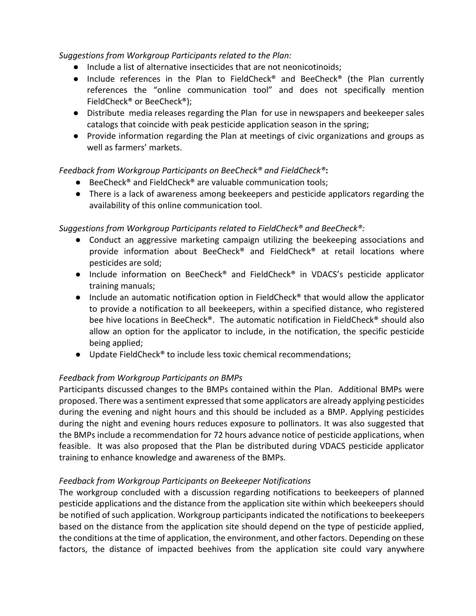## *Suggestions from Workgroup Participants related to the Plan:*

- Include a list of alternative insecticides that are not neonicotinoids;
- Include references in the Plan to FieldCheck<sup>®</sup> and BeeCheck<sup>®</sup> (the Plan currently references the "online communication tool" and does not specifically mention FieldCheck® or BeeCheck®);
- Distribute media releases regarding the Plan for use in newspapers and beekeeper sales catalogs that coincide with peak pesticide application season in the spring;
- Provide information regarding the Plan at meetings of civic organizations and groups as well as farmers' markets.

## *Feedback from Workgroup Participants on BeeCheck® and FieldCheck®***:**

- BeeCheck<sup>®</sup> and FieldCheck<sup>®</sup> are valuable communication tools;
- There is a lack of awareness among beekeepers and pesticide applicators regarding the availability of this online communication tool.

# *Suggestions from Workgroup Participants related to FieldCheck® and BeeCheck®:*

- Conduct an aggressive marketing campaign utilizing the beekeeping associations and provide information about BeeCheck® and FieldCheck® at retail locations where pesticides are sold;
- Include information on BeeCheck<sup>®</sup> and FieldCheck<sup>®</sup> in VDACS's pesticide applicator training manuals;
- $\bullet$  Include an automatic notification option in FieldCheck<sup>®</sup> that would allow the applicator to provide a notification to all beekeepers, within a specified distance, who registered bee hive locations in BeeCheck®. The automatic notification in FieldCheck® should also allow an option for the applicator to include, in the notification, the specific pesticide being applied;
- Update FieldCheck<sup>®</sup> to include less toxic chemical recommendations;

## *Feedback from Workgroup Participants on BMPs*

Participants discussed changes to the BMPs contained within the Plan. Additional BMPs were proposed. There was a sentiment expressed that some applicators are already applying pesticides during the evening and night hours and this should be included as a BMP. Applying pesticides during the night and evening hours reduces exposure to pollinators. It was also suggested that the BMPs include a recommendation for 72 hours advance notice of pesticide applications, when feasible. It was also proposed that the Plan be distributed during VDACS pesticide applicator training to enhance knowledge and awareness of the BMPs.

## *Feedback from Workgroup Participants on Beekeeper Notifications*

The workgroup concluded with a discussion regarding notifications to beekeepers of planned pesticide applications and the distance from the application site within which beekeepers should be notified of such application. Workgroup participants indicated the notifications to beekeepers based on the distance from the application site should depend on the type of pesticide applied, the conditions at the time of application, the environment, and other factors. Depending on these factors, the distance of impacted beehives from the application site could vary anywhere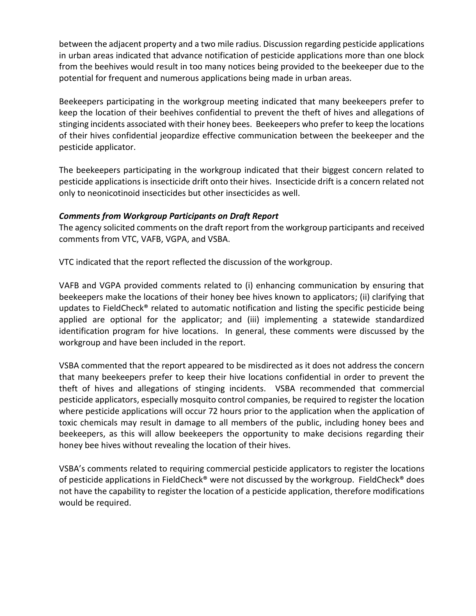between the adjacent property and a two mile radius. Discussion regarding pesticide applications in urban areas indicated that advance notification of pesticide applications more than one block from the beehives would result in too many notices being provided to the beekeeper due to the potential for frequent and numerous applications being made in urban areas.

Beekeepers participating in the workgroup meeting indicated that many beekeepers prefer to keep the location of their beehives confidential to prevent the theft of hives and allegations of stinging incidents associated with their honey bees. Beekeepers who prefer to keep the locations of their hives confidential jeopardize effective communication between the beekeeper and the pesticide applicator.

The beekeepers participating in the workgroup indicated that their biggest concern related to pesticide applications is insecticide drift onto their hives. Insecticide drift is a concern related not only to neonicotinoid insecticides but other insecticides as well.

## *Comments from Workgroup Participants on Draft Report*

The agency solicited comments on the draft report from the workgroup participants and received comments from VTC, VAFB, VGPA, and VSBA.

VTC indicated that the report reflected the discussion of the workgroup.

VAFB and VGPA provided comments related to (i) enhancing communication by ensuring that beekeepers make the locations of their honey bee hives known to applicators; (ii) clarifying that updates to FieldCheck® related to automatic notification and listing the specific pesticide being applied are optional for the applicator; and (iii) implementing a statewide standardized identification program for hive locations. In general, these comments were discussed by the workgroup and have been included in the report.

VSBA commented that the report appeared to be misdirected as it does not address the concern that many beekeepers prefer to keep their hive locations confidential in order to prevent the theft of hives and allegations of stinging incidents. VSBA recommended that commercial pesticide applicators, especially mosquito control companies, be required to register the location where pesticide applications will occur 72 hours prior to the application when the application of toxic chemicals may result in damage to all members of the public, including honey bees and beekeepers, as this will allow beekeepers the opportunity to make decisions regarding their honey bee hives without revealing the location of their hives.

VSBA's comments related to requiring commercial pesticide applicators to register the locations of pesticide applications in FieldCheck® were not discussed by the workgroup. FieldCheck® does not have the capability to register the location of a pesticide application, therefore modifications would be required.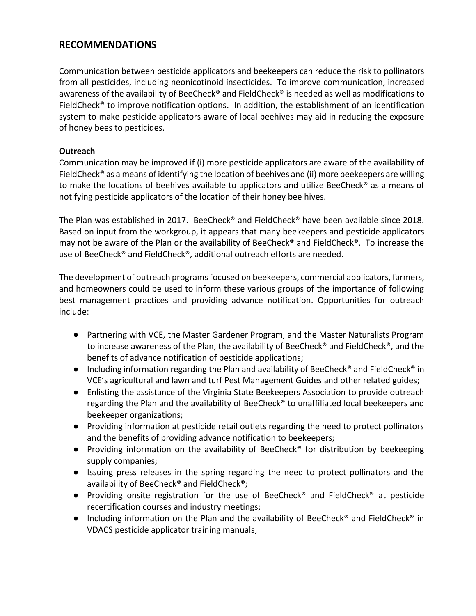# **RECOMMENDATIONS**

Communication between pesticide applicators and beekeepers can reduce the risk to pollinators from all pesticides, including neonicotinoid insecticides. To improve communication, increased awareness of the availability of BeeCheck® and FieldCheck® is needed as well as modifications to FieldCheck® to improve notification options. In addition, the establishment of an identification system to make pesticide applicators aware of local beehives may aid in reducing the exposure of honey bees to pesticides.

## **Outreach**

Communication may be improved if (i) more pesticide applicators are aware of the availability of FieldCheck<sup>®</sup> as a means of identifying the location of beehives and (ii) more beekeepers are willing to make the locations of beehives available to applicators and utilize BeeCheck® as a means of notifying pesticide applicators of the location of their honey bee hives.

The Plan was established in 2017. BeeCheck® and FieldCheck® have been available since 2018. Based on input from the workgroup, it appears that many beekeepers and pesticide applicators may not be aware of the Plan or the availability of BeeCheck® and FieldCheck®. To increase the use of BeeCheck® and FieldCheck®, additional outreach efforts are needed.

The development of outreach programs focused on beekeepers, commercial applicators, farmers, and homeowners could be used to inform these various groups of the importance of following best management practices and providing advance notification. Opportunities for outreach include:

- Partnering with VCE, the Master Gardener Program, and the Master Naturalists Program to increase awareness of the Plan, the availability of BeeCheck® and FieldCheck®, and the benefits of advance notification of pesticide applications;
- Including information regarding the Plan and availability of BeeCheck<sup>®</sup> and FieldCheck<sup>®</sup> in VCE's agricultural and lawn and turf Pest Management Guides and other related guides;
- Enlisting the assistance of the Virginia State Beekeepers Association to provide outreach regarding the Plan and the availability of BeeCheck® to unaffiliated local beekeepers and beekeeper organizations;
- Providing information at pesticide retail outlets regarding the need to protect pollinators and the benefits of providing advance notification to beekeepers;
- Providing information on the availability of BeeCheck<sup>®</sup> for distribution by beekeeping supply companies;
- Issuing press releases in the spring regarding the need to protect pollinators and the availability of BeeCheck® and FieldCheck®;
- Providing onsite registration for the use of BeeCheck® and FieldCheck® at pesticide recertification courses and industry meetings;
- Including information on the Plan and the availability of BeeCheck<sup>®</sup> and FieldCheck<sup>®</sup> in VDACS pesticide applicator training manuals;